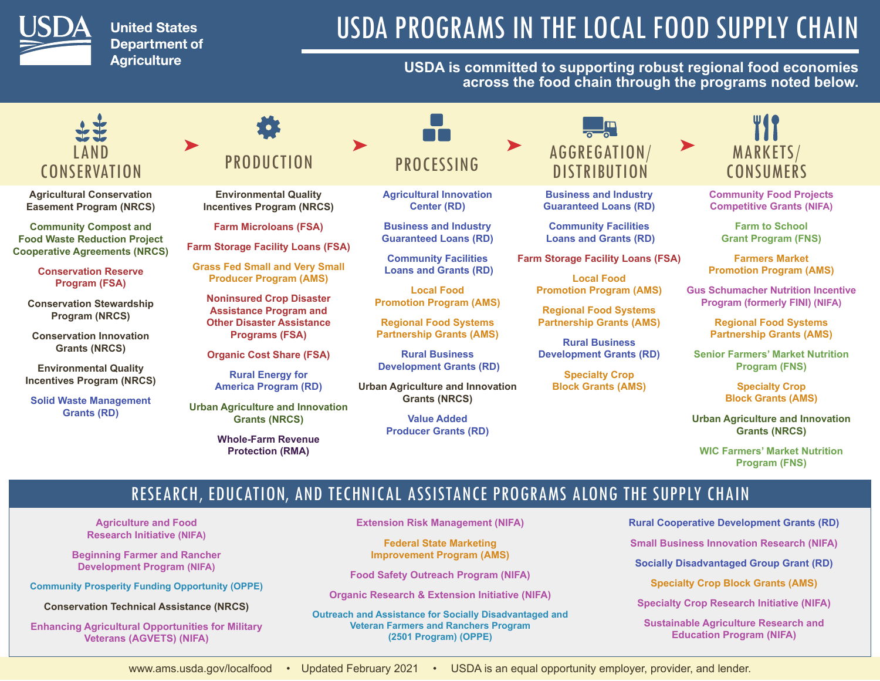

**United States Department of Agriculture** 

# USDA PROGRAMS IN THE LOCAL FOOD SUPPLY CHAIN

### **USDA is committed to supporting robust regional food economies across the food chain through the programs noted below.**

### LAND **CONSERVATION**

**[Agricultural Conservation](https://www.nrcs.usda.gov/wps/portal/nrcs/main/national/programs/easements/acep/)  [Easement Program \(NRCS\)](https://www.nrcs.usda.gov/wps/portal/nrcs/main/national/programs/easements/acep/)**

**[Community Compost and](https://www.farmers.gov/manage/urban/opportunities/ccfwr-faq)  [Food Waste Reduction Project](https://www.farmers.gov/manage/urban/opportunities/ccfwr-faq)  [Cooperative Agreements \(NRCS\)](https://www.farmers.gov/manage/urban/opportunities/ccfwr-faq)**

> **[Conservation Reserve](https://www.fsa.usda.gov/programs-and-services/conservation-programs/conservation-reserve-program/index)  [Program \(FSA\)](https://www.fsa.usda.gov/programs-and-services/conservation-programs/conservation-reserve-program/index)**

**[Conservation Stewardship](https://www.nrcs.usda.gov/wps/portal/nrcs/main/national/programs/financial/csp/)  [Program \(NRCS\)](https://www.nrcs.usda.gov/wps/portal/nrcs/main/national/programs/financial/csp/)**

**[Conservation Innovation](https://www.nrcs.usda.gov/wps/portal/nrcs/main/national/programs/financial/cig/)  [Grants \(NRCS\)](https://www.nrcs.usda.gov/wps/portal/nrcs/main/national/programs/financial/cig/)**

**[Environmental Quality](https://www.nrcs.usda.gov/wps/portal/nrcs/main/national/programs/financial/eqip/)  [Incentives Program \(NRCS\)](https://www.nrcs.usda.gov/wps/portal/nrcs/main/national/programs/financial/eqip/)**

**[Solid Waste Management](https://www.rd.usda.gov/programs-services/solid-waste-management-grants)  [Grants \(RD\)](https://www.rd.usda.gov/programs-services/solid-waste-management-grants)**

## **PRODUCTION**

**[Environmental Quality](https://www.nrcs.usda.gov/wps/portal/nrcs/main/national/programs/financial/eqip/)  [Incentives Program \(NRCS\)](https://www.nrcs.usda.gov/wps/portal/nrcs/main/national/programs/financial/eqip/)**

**[Farm Microloans \(FSA\)](https://www.fsa.usda.gov/microloans)**

**[Farm Storage Facility Loans \(FSA\)](https://www.fsa.usda.gov/programs-and-services/price-support/facility-loans/farm-storage/)**

**[Grass Fed Small and Very Small](https://www.ams.usda.gov/services/auditing/grass-fed-SVS)  [Producer Program \(AMS\)](https://www.ams.usda.gov/services/auditing/grass-fed-SVS)**

**[Noninsured Crop Disaster](https://www.fsa.usda.gov/programs-and-services/disaster-assistance-program/noninsured-crop-disaster-assistance/index)  [Assistance Program and](https://www.fsa.usda.gov/programs-and-services/disaster-assistance-program/noninsured-crop-disaster-assistance/index)  [Other Disaster Assistance](https://www.fsa.usda.gov/programs-and-services/disaster-assistance-program/noninsured-crop-disaster-assistance/index)  [Programs \(FSA\)](https://www.fsa.usda.gov/programs-and-services/disaster-assistance-program/noninsured-crop-disaster-assistance/index)**

**[Organic Cost Share \(FSA\)](https://www.ams.usda.gov/services/grants/occsp)**

**[Rural Energy for](https://www.rd.usda.gov/programs-services/rural-energy-america-program-renewable-energy-systems-energy-efficiency) [America Program \(RD\)](https://www.rd.usda.gov/programs-services/rural-energy-america-program-renewable-energy-systems-energy-efficiency)**

**[Urban Agriculture and Innovation](https://www.farmers.gov/manage/urban/opportunities/grants-faq)  [Grants \(NRCS\)](https://www.farmers.gov/manage/urban/opportunities/grants-faq)**

> **[Whole-Farm Revenue](https://www.rma.usda.gov/en/Policy-and-Procedure/Insurance-Plans/Whole-Farm-Revenue-Protection)  [Protection \(RMA\)](https://www.rma.usda.gov/en/Policy-and-Procedure/Insurance-Plans/Whole-Farm-Revenue-Protection)**

**PROCESSING** 

H

**[Agricultural Innovation](https://www.rd.usda.gov/programs-services/agriculture-innovation-center-program)  [Center \(RD\)](https://www.rd.usda.gov/programs-services/agriculture-innovation-center-program)**

**[Business and Industry](https://www.rd.usda.gov/programs-services/business-industry-loan-guarantees)  [Guaranteed Loans \(RD\)](https://www.rd.usda.gov/programs-services/business-industry-loan-guarantees)**

**[Community Facilities](https://www.rd.usda.gov/programs-services/community-facilities-direct-loan-grant-program)  [Loans and Grants \(RD\)](https://www.rd.usda.gov/programs-services/community-facilities-direct-loan-grant-program)**

**[Local Food](https://www.ams.usda.gov/services/grants/lfpp)  [Promotion Program \(AMS\)](https://www.ams.usda.gov/services/grants/lfpp)**

**[Regional Food Systems](https://www.ams.usda.gov/services/grants/rfsp)  [Partnership Grants \(AMS\)](https://www.ams.usda.gov/services/grants/rfsp)**

**[Rural Business](https://www.rd.usda.gov/programs-services/rural-business-development-grants)  [Development Grants \(RD\)](https://www.rd.usda.gov/programs-services/rural-business-development-grants)**

**[Urban Agriculture and Innovation](https://www.farmers.gov/manage/urban/opportunities/grants-faq)  [Grants \(NRCS\)](https://www.farmers.gov/manage/urban/opportunities/grants-faq)**

> **[Value Added](https://www.rd.usda.gov/programs-services/value-added-producer-grants)  [Producer Grants \(RD\)](https://www.rd.usda.gov/programs-services/value-added-producer-grants)**



**[Business and Industry](https://www.rd.usda.gov/programs-services/business-industry-loan-guarantees)  [Guaranteed Loans \(RD\)](https://www.rd.usda.gov/programs-services/business-industry-loan-guarantees)**

**[Community Facilities](https://www.rd.usda.gov/programs-services/community-facilities-direct-loan-grant-program)  [Loans and Grants \(RD\)](https://www.rd.usda.gov/programs-services/community-facilities-direct-loan-grant-program)**

**[Farm Storage Facility Loans \(FSA\)](https://www.fsa.usda.gov/programs-and-services/price-support/facility-loans/farm-storage/)**

**[Local Food](https://www.ams.usda.gov/services/grants/lfpp)  [Promotion Program \(AMS\)](https://www.ams.usda.gov/services/grants/lfpp)**

**[Regional Food Systems](https://www.ams.usda.gov/services/grants/rfsp)  [Partnership Grants \(AMS\)](https://www.ams.usda.gov/services/grants/rfsp)**

**[Rural Business](https://www.rd.usda.gov/programs-services/rural-business-development-grants) [Development Grants \(RD\)](https://www.rd.usda.gov/programs-services/rural-business-development-grants)**

**[Specialty Crop](https://www.ams.usda.gov/services/grants/scbgp) [Block Grants \(AMS\)](https://www.ams.usda.gov/services/grants/scbgp)**



**[Community Food Projects](https://nifa.usda.gov/funding-opportunity/community-food-projects-cfp-competitive-grants-program)  [Competitive Grants \(NIFA\)](https://nifa.usda.gov/funding-opportunity/community-food-projects-cfp-competitive-grants-program)**

> **[Farm to School](https://www.fns.usda.gov/farmtoschool/farm-school-grant-program)  [Grant Program \(FNS\)](https://www.fns.usda.gov/farmtoschool/farm-school-grant-program)**

**[Farmers Market](https://www.ams.usda.gov/services/grants/fmpp) [Promotion Program \(AMS\)](https://www.ams.usda.gov/services/grants/fmpp)**

**[Gus Schumacher Nutrition Incentive](https://nifa.usda.gov/program/gus-schumacher-nutrition-incentive-grant-program)  [Program \(formerly FINI\) \(NIFA\)](https://nifa.usda.gov/program/gus-schumacher-nutrition-incentive-grant-program)**

> **[Regional Food Systems](https://www.ams.usda.gov/services/grants/rfsp)  [Partnership Grants \(AMS\)](https://www.ams.usda.gov/services/grants/rfsp)**

**[Senior Farmers' Market Nutrition](https://www.fns.usda.gov/sfmnp/)  [Program \(FNS\)](https://www.fns.usda.gov/sfmnp/)**

> **[Specialty Crop](https://www.ams.usda.gov/services/grants/scbgp)  [Block Grants \(AMS\)](https://www.ams.usda.gov/services/grants/scbgp)**

**[Urban Agriculture and Innovation](https://www.farmers.gov/manage/urban/opportunities/grants-faq)  [Grants \(NRCS\)](https://www.farmers.gov/manage/urban/opportunities/grants-faq)**

**[WIC Farmers' Market Nutrition](https://www.fns.usda.gov/fmnp/)  [Program \(FNS\)](https://www.fns.usda.gov/fmnp/)**

### RESEARCH, EDUCATION, AND TECHNICAL ASSISTANCE PROGRAMS ALONG THE SUPPLY CHAIN

**[Agriculture and Food](https://nifa.usda.gov/program/agriculture-and-food-research-initiative-afri)  [Research Initiative \(NIFA\)](https://nifa.usda.gov/program/agriculture-and-food-research-initiative-afri)**

**[Beginning Farmer and Rancher](https://nifa.usda.gov/program/beginning-farmer-and-rancher-development-program-bfrdp)  [Development Program](https://nifa.usda.gov/program/beginning-farmer-and-rancher-development-program-bfrdp) (NIFA)**

**[Community Prosperity Funding Opportunity \(OPPE\)](https://www.usda.gov/partnerships/centers-of-community-prosperity)**

**[Conservation Technical Assistance \(NRCS\)](https://www.nrcs.usda.gov/wps/portal/nrcs/main/national/programs/technical/cta/)**

**[Enhancing Agricultural Opportunities for Military](https://go.usa.gov/xQdzc)  [Veterans \(AGVETS\) \(NIFA\)](https://go.usa.gov/xQdzc)**

**[Extension Risk Management \(NIFA\)](https://nifa.usda.gov/program/extension-risk-management-education-program)**

**[Federal State Marketing](https://www.ams.usda.gov/services/grants/fsmip)  [Improvement Program](https://www.ams.usda.gov/services/grants/fsmip) (AMS)**

**[Food Safety Outreach Program \(NIFA\)](https://nifa.usda.gov/food-safety-outreach-program)**

**[Organic Research & Extension Initiative \(NIFA\)](https://nifa.usda.gov/funding-opportunity/organic-agriculture-research-and-extension-initiative)**

**[Outreach and Assistance for Socially Disadvantaged and](https://www.outreach.usda.gov/sdfr/)  [Veteran Farmers and Ranchers Program](https://www.outreach.usda.gov/sdfr/)  [\(2501 Program\)](https://www.outreach.usda.gov/sdfr/) (OPPE)**

**[Rural Cooperative Development Grants \(RD\)](https://www.rd.usda.gov/programs-services/rural-cooperative-development-grant-program)**

**[Small Business Innovation Research \(NIFA\)](https://nifa.usda.gov/program/small-business-innovation-research-program-sbir)**

**[Socially Disadvantaged Group Grant \(RD\)](https://www.rd.usda.gov/programs-services/socially-disadvantaged-groups-grant)**

**[Specialty Crop Block Grants \(AMS\)](https://www.ams.usda.gov/services/grants/scbgp)**

**[Specialty Crop Research Initiative \(NIFA\)](https://nifa.usda.gov/funding-opportunity/specialty-crop-research-initiative-scri)**

**[Sustainable Agriculture Research and](https://nifa.usda.gov/program/sustainable-agriculture-program)  [Education Program](https://nifa.usda.gov/program/sustainable-agriculture-program) (NIFA)**

<www.ams.usda.gov/localfood> • Updated February 2021 • USDA is an equal opportunity employer, provider, and lender.